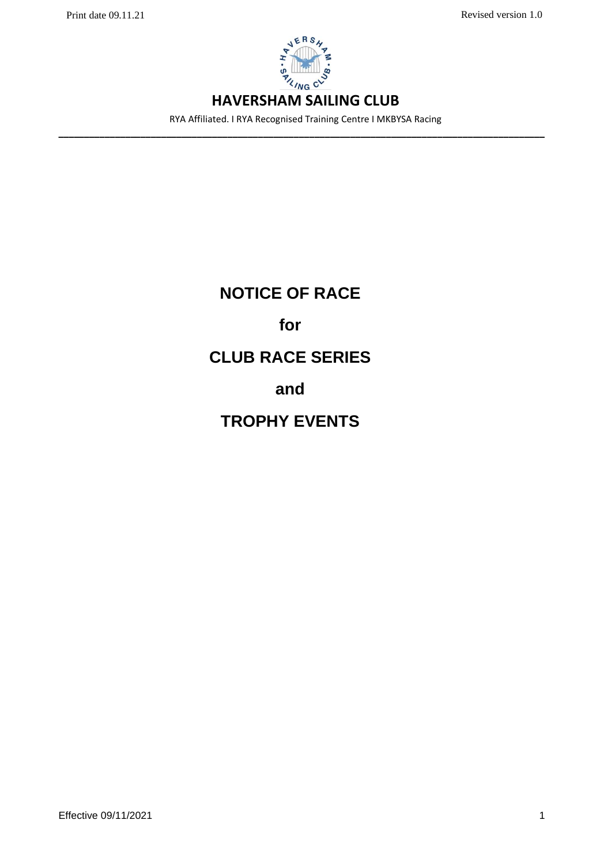

RYA Affiliated. I RYA Recognised Training Centre I MKBYSA Racing **–––––––––––––––––––––––––––––––––––––––––––––––––––––––––––––––––––––––––––––––––––––––––––––––**

# **NOTICE OF RACE for CLUB RACE SERIES and TROPHY EVENTS**

**Effective 09/11/2021** 1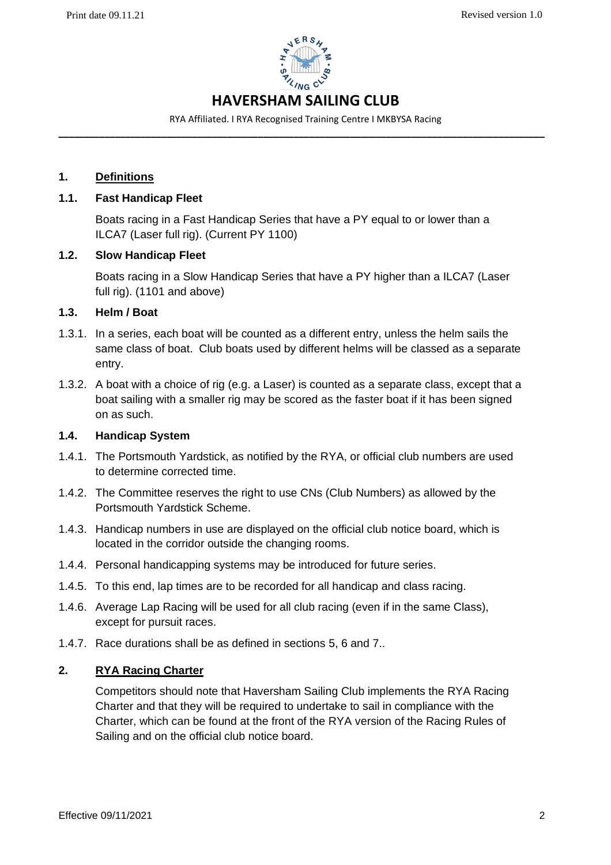

RYA Affiliated. I RYA Recognised Training Centre I MKBYSA Racing **–––––––––––––––––––––––––––––––––––––––––––––––––––––––––––––––––––––––––––––––––––––––––––––––**

# **1. Definitions**

# **1.1. Fast Handicap Fleet**

Boats racing in a Fast Handicap Series that have a PY equal to or lower than a ILCA7 (Laser full rig). (Current PY 1100)

# **1.2. Slow Handicap Fleet**

Boats racing in a Slow Handicap Series that have a PY higher than a ILCA7 (Laser full rig). (1101 and above)

# **1.3. Helm / Boat**

- 1.3.1. In a series, each boat will be counted as a different entry, unless the helm sails the same class of boat. Club boats used by different helms will be classed as a separate entry.
- 1.3.2. A boat with a choice of rig (e.g. a Laser) is counted as a separate class, except that a boat sailing with a smaller rig may be scored as the faster boat if it has been signed on as such.

### **1.4. Handicap System**

- 1.4.1. The Portsmouth Yardstick, as notified by the RYA, or official club numbers are used to determine corrected time.
- 1.4.2. The Committee reserves the right to use CNs (Club Numbers) as allowed by the Portsmouth Yardstick Scheme.
- 1.4.3. Handicap numbers in use are displayed on the official club notice board, which is located in the corridor outside the changing rooms.
- 1.4.4. Personal handicapping systems may be introduced for future series.
- 1.4.5. To this end, lap times are to be recorded for all handicap and class racing.
- 1.4.6. Average Lap Racing will be used for all club racing (even if in the same Class), except for pursuit races.
- 1.4.7. Race durations shall be as defined in sections 5, 6 and 7..

# **2. RYA Racing Charter**

Competitors should note that Haversham Sailing Club implements the RYA Racing Charter and that they will be required to undertake to sail in compliance with the Charter, which can be found at the front of the RYA version of the Racing Rules of Sailing and on the official club notice board.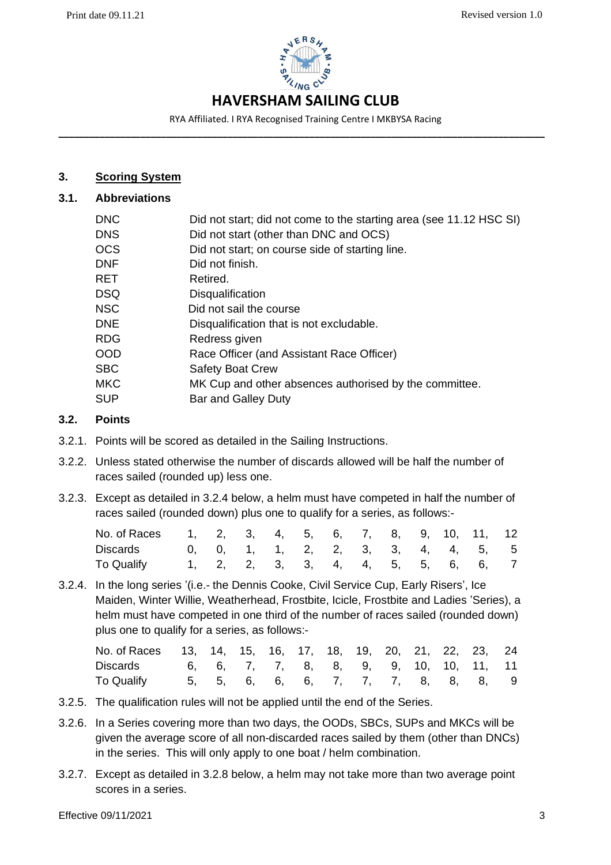

RYA Affiliated. I RYA Recognised Training Centre I MKBYSA Racing **–––––––––––––––––––––––––––––––––––––––––––––––––––––––––––––––––––––––––––––––––––––––––––––––**

# **3. Scoring System**

# **3.1. Abbreviations**

| <b>DNC</b> | Did not start; did not come to the starting area (see 11.12 HSC SI) |
|------------|---------------------------------------------------------------------|
| <b>DNS</b> | Did not start (other than DNC and OCS)                              |
| <b>OCS</b> | Did not start; on course side of starting line.                     |
| <b>DNF</b> | Did not finish.                                                     |
| <b>RET</b> | Retired.                                                            |
| <b>DSQ</b> | Disqualification                                                    |
| <b>NSC</b> | Did not sail the course                                             |
| <b>DNE</b> | Disqualification that is not excludable.                            |
| <b>RDG</b> | Redress given                                                       |
| <b>OOD</b> | Race Officer (and Assistant Race Officer)                           |
| <b>SBC</b> | <b>Safety Boat Crew</b>                                             |
| <b>MKC</b> | MK Cup and other absences authorised by the committee.              |
| <b>SUP</b> | <b>Bar and Galley Duty</b>                                          |
|            |                                                                     |

### **3.2. Points**

- 3.2.1. Points will be scored as detailed in the Sailing Instructions.
- 3.2.2. Unless stated otherwise the number of discards allowed will be half the number of races sailed (rounded up) less one.
- 3.2.3. Except as detailed in 3.2.4 below, a helm must have competed in half the number of races sailed (rounded down) plus one to qualify for a series, as follows:-

| No. of Races 1, 2, 3, 4, 5, 6, 7, 8, 9, 10, 11, 12 |  |  |  |  |  |                                    |  |
|----------------------------------------------------|--|--|--|--|--|------------------------------------|--|
| Discards 0, 0, 1, 1, 2, 2, 3, 3, 4, 4, 5, 5        |  |  |  |  |  |                                    |  |
| To Qualify                                         |  |  |  |  |  | 1, 2, 2, 3, 3, 4, 4, 5, 5, 6, 6, 7 |  |

3.2.4. In the long series '(i.e.- the Dennis Cooke, Civil Service Cup, Early Risers', Ice Maiden, Winter Willie, Weatherhead, Frostbite, Icicle, Frostbite and Ladies 'Series), a helm must have competed in one third of the number of races sailed (rounded down) plus one to qualify for a series, as follows:-

| No. of Races 13, 14, 15, 16, 17, 18, 19, 20, 21, 22, 23, 24 |  |  |  |  |  |                                    |  |
|-------------------------------------------------------------|--|--|--|--|--|------------------------------------|--|
| Discards 6, 6, 7, 7, 8, 8, 9, 9, 10, 10, 11, 11             |  |  |  |  |  |                                    |  |
| To Qualify                                                  |  |  |  |  |  | 5, 5, 6, 6, 6, 7, 7, 7, 8, 8, 8, 9 |  |

- 3.2.5. The qualification rules will not be applied until the end of the Series.
- 3.2.6. In a Series covering more than two days, the OODs, SBCs, SUPs and MKCs will be given the average score of all non-discarded races sailed by them (other than DNCs) in the series. This will only apply to one boat / helm combination.
- 3.2.7. Except as detailed in 3.2.8 below, a helm may not take more than two average point scores in a series.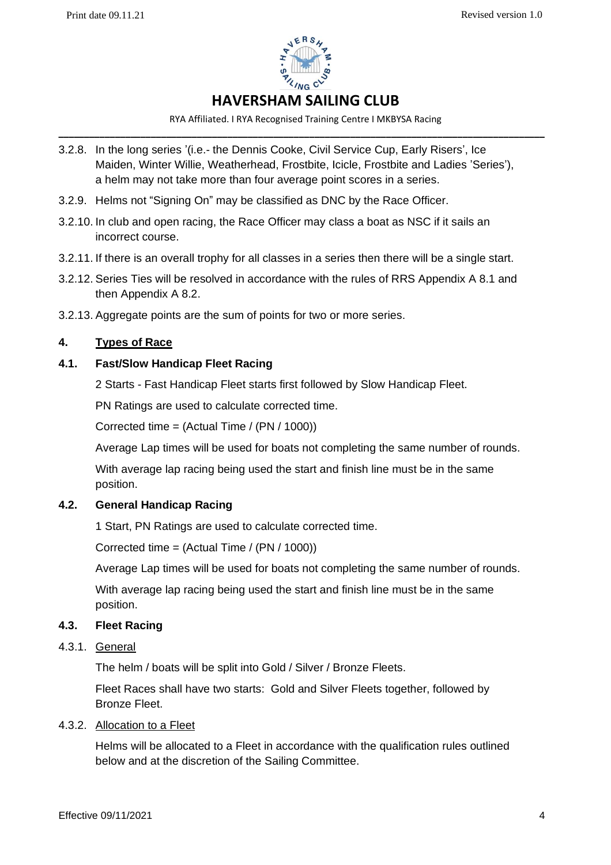

RYA Affiliated. I RYA Recognised Training Centre I MKBYSA Racing **–––––––––––––––––––––––––––––––––––––––––––––––––––––––––––––––––––––––––––––––––––––––––––––––**

- 3.2.8. In the long series '(i.e.- the Dennis Cooke, Civil Service Cup, Early Risers', Ice Maiden, Winter Willie, Weatherhead, Frostbite, Icicle, Frostbite and Ladies 'Series'), a helm may not take more than four average point scores in a series.
- 3.2.9. Helms not "Signing On" may be classified as DNC by the Race Officer.
- 3.2.10. In club and open racing, the Race Officer may class a boat as NSC if it sails an incorrect course.
- 3.2.11. If there is an overall trophy for all classes in a series then there will be a single start.
- 3.2.12. Series Ties will be resolved in accordance with the rules of RRS Appendix A 8.1 and then Appendix A 8.2.
- 3.2.13. Aggregate points are the sum of points for two or more series.

# **4. Types of Race**

# **4.1. Fast/Slow Handicap Fleet Racing**

2 Starts - Fast Handicap Fleet starts first followed by Slow Handicap Fleet.

PN Ratings are used to calculate corrected time.

Corrected time = (Actual Time / (PN / 1000))

Average Lap times will be used for boats not completing the same number of rounds.

With average lap racing being used the start and finish line must be in the same position.

# **4.2. General Handicap Racing**

1 Start, PN Ratings are used to calculate corrected time.

Corrected time = (Actual Time / (PN / 1000))

Average Lap times will be used for boats not completing the same number of rounds.

With average lap racing being used the start and finish line must be in the same position.

#### **4.3. Fleet Racing**

# 4.3.1. General

The helm / boats will be split into Gold / Silver / Bronze Fleets.

Fleet Races shall have two starts: Gold and Silver Fleets together, followed by Bronze Fleet.

### 4.3.2. Allocation to a Fleet

Helms will be allocated to a Fleet in accordance with the qualification rules outlined below and at the discretion of the Sailing Committee.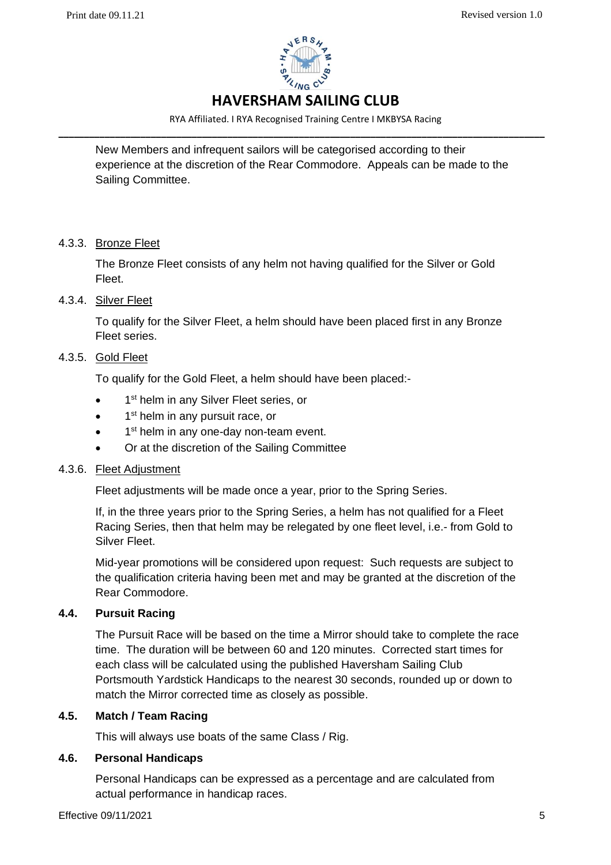

RYA Affiliated. I RYA Recognised Training Centre I MKBYSA Racing **–––––––––––––––––––––––––––––––––––––––––––––––––––––––––––––––––––––––––––––––––––––––––––––––**

New Members and infrequent sailors will be categorised according to their experience at the discretion of the Rear Commodore. Appeals can be made to the Sailing Committee.

# 4.3.3. Bronze Fleet

The Bronze Fleet consists of any helm not having qualified for the Silver or Gold Fleet.

# 4.3.4. Silver Fleet

To qualify for the Silver Fleet, a helm should have been placed first in any Bronze Fleet series.

# 4.3.5. Gold Fleet

To qualify for the Gold Fleet, a helm should have been placed:-

- $\bullet$ 1<sup>st</sup> helm in any Silver Fleet series, or
- 1<sup>st</sup> helm in any pursuit race, or
- 1<sup>st</sup> helm in any one-day non-team event.
- Or at the discretion of the Sailing Committee

# 4.3.6. Fleet Adjustment

Fleet adjustments will be made once a year, prior to the Spring Series.

If, in the three years prior to the Spring Series, a helm has not qualified for a Fleet Racing Series, then that helm may be relegated by one fleet level, i.e.- from Gold to Silver Fleet.

Mid-year promotions will be considered upon request: Such requests are subject to the qualification criteria having been met and may be granted at the discretion of the Rear Commodore.

# **4.4. Pursuit Racing**

The Pursuit Race will be based on the time a Mirror should take to complete the race time. The duration will be between 60 and 120 minutes. Corrected start times for each class will be calculated using the published Haversham Sailing Club Portsmouth Yardstick Handicaps to the nearest 30 seconds, rounded up or down to match the Mirror corrected time as closely as possible.

# **4.5. Match / Team Racing**

This will always use boats of the same Class / Rig.

#### **4.6. Personal Handicaps**

Personal Handicaps can be expressed as a percentage and are calculated from actual performance in handicap races.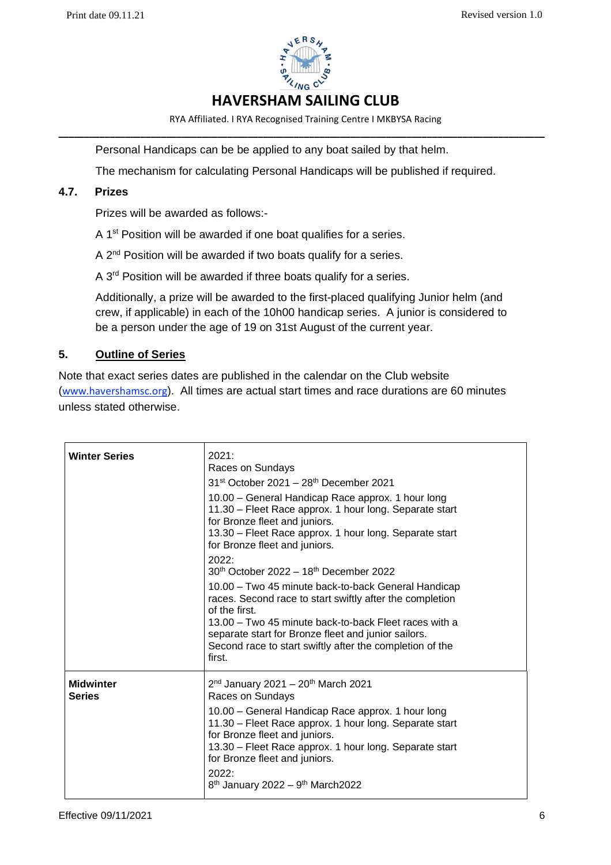

RYA Affiliated. I RYA Recognised Training Centre I MKBYSA Racing **–––––––––––––––––––––––––––––––––––––––––––––––––––––––––––––––––––––––––––––––––––––––––––––––**

Personal Handicaps can be be applied to any boat sailed by that helm.

The mechanism for calculating Personal Handicaps will be published if required.

# **4.7. Prizes**

Prizes will be awarded as follows:-

A 1<sup>st</sup> Position will be awarded if one boat qualifies for a series.

A 2<sup>nd</sup> Position will be awarded if two boats qualify for a series.

A 3<sup>rd</sup> Position will be awarded if three boats qualify for a series.

Additionally, a prize will be awarded to the first-placed qualifying Junior helm (and crew, if applicable) in each of the 10h00 handicap series. A junior is considered to be a person under the age of 19 on 31st August of the current year.

# **5. Outline of Series**

Note that exact series dates are published in the calendar on the Club website ([www.havershamsc.org](http://www.havershamsc.org/)). All times are actual start times and race durations are 60 minutes unless stated otherwise.

| <b>Winter Series</b>       | 2021:<br>Races on Sundays<br>$31st$ October 2021 – 28 <sup>th</sup> December 2021<br>10.00 - General Handicap Race approx. 1 hour long<br>11.30 - Fleet Race approx. 1 hour long. Separate start<br>for Bronze fleet and juniors.<br>13.30 - Fleet Race approx. 1 hour long. Separate start<br>for Bronze fleet and juniors.<br>2022:<br>30th October 2022 - 18th December 2022<br>10.00 – Two 45 minute back-to-back General Handicap<br>races. Second race to start swiftly after the completion<br>of the first.<br>13.00 – Two 45 minute back-to-back Fleet races with a<br>separate start for Bronze fleet and junior sailors.<br>Second race to start swiftly after the completion of the<br>first. |
|----------------------------|-----------------------------------------------------------------------------------------------------------------------------------------------------------------------------------------------------------------------------------------------------------------------------------------------------------------------------------------------------------------------------------------------------------------------------------------------------------------------------------------------------------------------------------------------------------------------------------------------------------------------------------------------------------------------------------------------------------|
| <b>Midwinter</b><br>Series | $2^{nd}$ January 2021 - $20^{th}$ March 2021<br>Races on Sundays<br>10.00 - General Handicap Race approx. 1 hour long<br>11.30 - Fleet Race approx. 1 hour long. Separate start<br>for Bronze fleet and juniors.<br>13.30 - Fleet Race approx. 1 hour long. Separate start<br>for Bronze fleet and juniors.<br>2022:<br>$8^{th}$ January 2022 – $9^{th}$ March 2022                                                                                                                                                                                                                                                                                                                                       |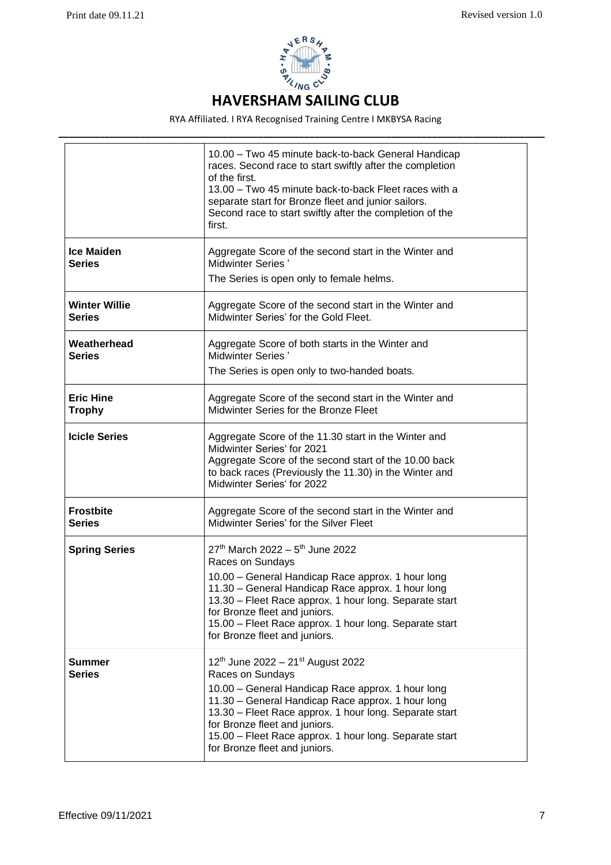

RYA Affiliated. I RYA Recognised Training Centre I MKBYSA Racing

|                                       | 10.00 - Two 45 minute back-to-back General Handicap<br>races. Second race to start swiftly after the completion<br>of the first.<br>13.00 - Two 45 minute back-to-back Fleet races with a<br>separate start for Bronze fleet and junior sailors.<br>Second race to start swiftly after the completion of the<br>first.                                            |
|---------------------------------------|-------------------------------------------------------------------------------------------------------------------------------------------------------------------------------------------------------------------------------------------------------------------------------------------------------------------------------------------------------------------|
| <b>Ice Maiden</b><br><b>Series</b>    | Aggregate Score of the second start in the Winter and<br><b>Midwinter Series'</b><br>The Series is open only to female helms.                                                                                                                                                                                                                                     |
| <b>Winter Willie</b><br><b>Series</b> | Aggregate Score of the second start in the Winter and<br>Midwinter Series' for the Gold Fleet.                                                                                                                                                                                                                                                                    |
| Weatherhead<br><b>Series</b>          | Aggregate Score of both starts in the Winter and<br><b>Midwinter Series'</b><br>The Series is open only to two-handed boats.                                                                                                                                                                                                                                      |
| <b>Eric Hine</b><br><b>Trophy</b>     | Aggregate Score of the second start in the Winter and<br>Midwinter Series for the Bronze Fleet                                                                                                                                                                                                                                                                    |
| <b>Icicle Series</b>                  | Aggregate Score of the 11.30 start in the Winter and<br>Midwinter Series' for 2021<br>Aggregate Score of the second start of the 10.00 back<br>to back races (Previously the 11.30) in the Winter and<br>Midwinter Series' for 2022                                                                                                                               |
| <b>Frostbite</b><br><b>Series</b>     | Aggregate Score of the second start in the Winter and<br>Midwinter Series' for the Silver Fleet                                                                                                                                                                                                                                                                   |
| <b>Spring Series</b>                  | $27th$ March 2022 – 5 <sup>th</sup> June 2022<br>Races on Sundays<br>10.00 - General Handicap Race approx. 1 hour long<br>11.30 - General Handicap Race approx. 1 hour long<br>13.30 - Fleet Race approx. 1 hour long. Separate start<br>for Bronze fleet and juniors.<br>15.00 - Fleet Race approx. 1 hour long. Separate start<br>for Bronze fleet and juniors. |
| <b>Summer</b><br><b>Series</b>        | 12th June 2022 - 21st August 2022<br>Races on Sundays<br>10.00 - General Handicap Race approx. 1 hour long<br>11.30 - General Handicap Race approx. 1 hour long<br>13.30 - Fleet Race approx. 1 hour long. Separate start<br>for Bronze fleet and juniors.<br>15.00 - Fleet Race approx. 1 hour long. Separate start<br>for Bronze fleet and juniors.             |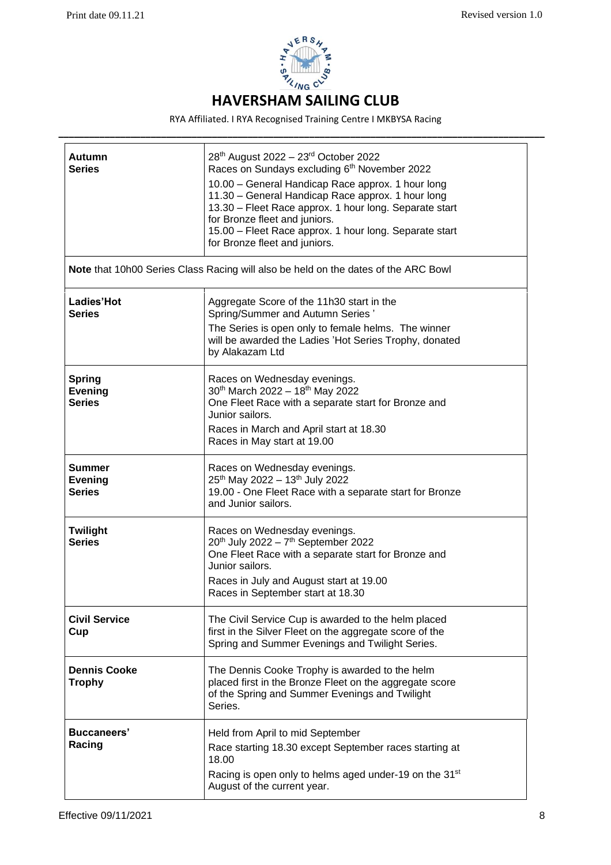

RYA Affiliated. I RYA Recognised Training Centre I MKBYSA Racing **–––––––––––––––––––––––––––––––––––––––––––––––––––––––––––––––––––––––––––––––––––––––––––––––**

| Autumn<br><b>Series</b>                          | 28 <sup>th</sup> August 2022 - 23 <sup>rd</sup> October 2022<br>Races on Sundays excluding 6th November 2022<br>10.00 - General Handicap Race approx. 1 hour long<br>11.30 - General Handicap Race approx. 1 hour long<br>13.30 - Fleet Race approx. 1 hour long. Separate start<br>for Bronze fleet and juniors.<br>15.00 - Fleet Race approx. 1 hour long. Separate start<br>for Bronze fleet and juniors. |
|--------------------------------------------------|--------------------------------------------------------------------------------------------------------------------------------------------------------------------------------------------------------------------------------------------------------------------------------------------------------------------------------------------------------------------------------------------------------------|
|                                                  | Note that 10h00 Series Class Racing will also be held on the dates of the ARC Bowl                                                                                                                                                                                                                                                                                                                           |
| Ladies'Hot<br><b>Series</b>                      | Aggregate Score of the 11h30 start in the<br>Spring/Summer and Autumn Series'<br>The Series is open only to female helms. The winner<br>will be awarded the Ladies 'Hot Series Trophy, donated<br>by Alakazam Ltd                                                                                                                                                                                            |
| <b>Spring</b><br><b>Evening</b><br><b>Series</b> | Races on Wednesday evenings.<br>30th March 2022 - 18th May 2022<br>One Fleet Race with a separate start for Bronze and<br>Junior sailors.<br>Races in March and April start at 18.30<br>Races in May start at 19.00                                                                                                                                                                                          |
| <b>Summer</b><br><b>Evening</b><br><b>Series</b> | Races on Wednesday evenings.<br>25 <sup>th</sup> May 2022 - 13 <sup>th</sup> July 2022<br>19.00 - One Fleet Race with a separate start for Bronze<br>and Junior sailors.                                                                                                                                                                                                                                     |
| <b>Twilight</b><br><b>Series</b>                 | Races on Wednesday evenings.<br>$20^{th}$ July 2022 - $7^{th}$ September 2022<br>One Fleet Race with a separate start for Bronze and<br>Junior sailors.<br>Races in July and August start at 19.00<br>Races in September start at 18.30                                                                                                                                                                      |
| <b>Civil Service</b><br>Cup                      | The Civil Service Cup is awarded to the helm placed<br>first in the Silver Fleet on the aggregate score of the<br>Spring and Summer Evenings and Twilight Series.                                                                                                                                                                                                                                            |
| <b>Dennis Cooke</b><br><b>Trophy</b>             | The Dennis Cooke Trophy is awarded to the helm<br>placed first in the Bronze Fleet on the aggregate score<br>of the Spring and Summer Evenings and Twilight<br>Series.                                                                                                                                                                                                                                       |
| <b>Buccaneers'</b><br>Racing                     | Held from April to mid September<br>Race starting 18.30 except September races starting at<br>18.00<br>Racing is open only to helms aged under-19 on the 31 <sup>st</sup><br>August of the current year.                                                                                                                                                                                                     |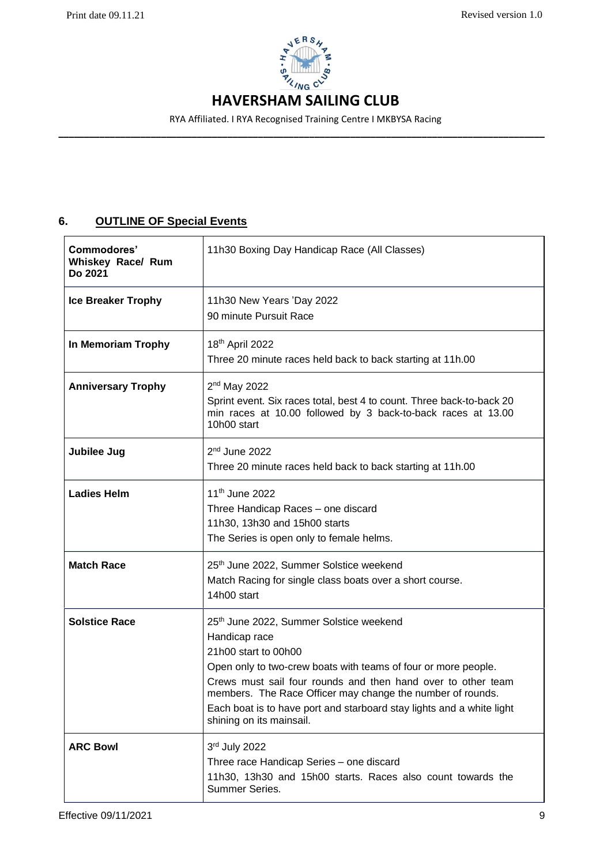

RYA Affiliated. I RYA Recognised Training Centre I MKBYSA Racing **–––––––––––––––––––––––––––––––––––––––––––––––––––––––––––––––––––––––––––––––––––––––––––––––**

# **6. OUTLINE OF Special Events**

| Commodores'<br>Whiskey Race/ Rum<br>Do 2021 | 11h30 Boxing Day Handicap Race (All Classes)                                                                                                                                                                                                                                                                                                                                          |
|---------------------------------------------|---------------------------------------------------------------------------------------------------------------------------------------------------------------------------------------------------------------------------------------------------------------------------------------------------------------------------------------------------------------------------------------|
| <b>Ice Breaker Trophy</b>                   | 11h30 New Years 'Day 2022<br>90 minute Pursuit Race                                                                                                                                                                                                                                                                                                                                   |
| In Memoriam Trophy                          | 18 <sup>th</sup> April 2022<br>Three 20 minute races held back to back starting at 11h.00                                                                                                                                                                                                                                                                                             |
| <b>Anniversary Trophy</b>                   | 2 <sup>nd</sup> May 2022<br>Sprint event. Six races total, best 4 to count. Three back-to-back 20<br>min races at 10.00 followed by 3 back-to-back races at 13.00<br>10h00 start                                                                                                                                                                                                      |
| Jubilee Jug                                 | $2nd$ June 2022<br>Three 20 minute races held back to back starting at 11h.00                                                                                                                                                                                                                                                                                                         |
| <b>Ladies Helm</b>                          | 11 <sup>th</sup> June 2022<br>Three Handicap Races - one discard<br>11h30, 13h30 and 15h00 starts<br>The Series is open only to female helms.                                                                                                                                                                                                                                         |
| <b>Match Race</b>                           | 25th June 2022, Summer Solstice weekend<br>Match Racing for single class boats over a short course.<br>14h00 start                                                                                                                                                                                                                                                                    |
| <b>Solstice Race</b>                        | 25th June 2022, Summer Solstice weekend<br>Handicap race<br>21h00 start to 00h00<br>Open only to two-crew boats with teams of four or more people.<br>Crews must sail four rounds and then hand over to other team<br>members. The Race Officer may change the number of rounds.<br>Each boat is to have port and starboard stay lights and a white light<br>shining on its mainsail. |
| <b>ARC Bowl</b>                             | 3rd July 2022<br>Three race Handicap Series - one discard<br>11h30, 13h30 and 15h00 starts. Races also count towards the<br>Summer Series.                                                                                                                                                                                                                                            |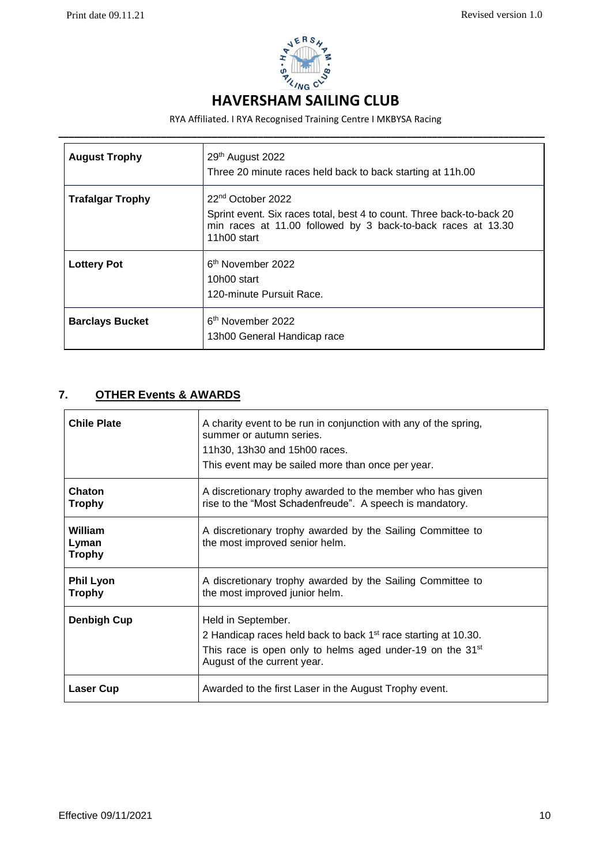

RYA Affiliated. I RYA Recognised Training Centre I MKBYSA Racing

| <b>August Trophy</b>    | 29th August 2022<br>Three 20 minute races held back to back starting at 11h.00                                                                                                        |
|-------------------------|---------------------------------------------------------------------------------------------------------------------------------------------------------------------------------------|
| <b>Trafalgar Trophy</b> | 22 <sup>nd</sup> October 2022<br>Sprint event. Six races total, best 4 to count. Three back-to-back 20<br>min races at 11.00 followed by 3 back-to-back races at 13.30<br>11h00 start |
| <b>Lottery Pot</b>      | 6 <sup>th</sup> November 2022<br>10h00 start<br>120-minute Pursuit Race.                                                                                                              |
| <b>Barclays Bucket</b>  | 6 <sup>th</sup> November 2022<br>13h00 General Handicap race                                                                                                                          |

# **7. OTHER Events & AWARDS**

| <b>Chile Plate</b>                | A charity event to be run in conjunction with any of the spring,<br>summer or autumn series.<br>11h30, 13h30 and 15h00 races.<br>This event may be sailed more than once per year.             |
|-----------------------------------|------------------------------------------------------------------------------------------------------------------------------------------------------------------------------------------------|
| <b>Chaton</b><br><b>Trophy</b>    | A discretionary trophy awarded to the member who has given<br>rise to the "Most Schadenfreude". A speech is mandatory.                                                                         |
| William<br>Lyman<br><b>Trophy</b> | A discretionary trophy awarded by the Sailing Committee to<br>the most improved senior helm.                                                                                                   |
| <b>Phil Lyon</b><br><b>Trophy</b> | A discretionary trophy awarded by the Sailing Committee to<br>the most improved junior helm.                                                                                                   |
| <b>Denbigh Cup</b>                | Held in September.<br>2 Handicap races held back to back $1st$ race starting at 10.30.<br>This race is open only to helms aged under-19 on the 31 <sup>st</sup><br>August of the current year. |
| Laser Cup                         | Awarded to the first Laser in the August Trophy event.                                                                                                                                         |